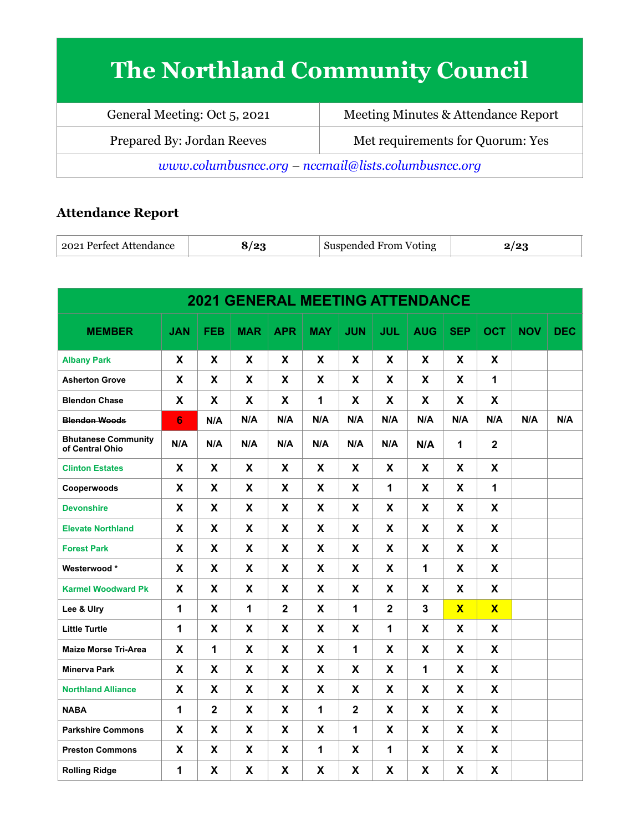# **The Northland Community Council**

| General Meeting: Oct 5, 2021                                   | Meeting Minutes & Attendance Report |  |  |  |
|----------------------------------------------------------------|-------------------------------------|--|--|--|
| Met requirements for Quorum: Yes<br>Prepared By: Jordan Reeves |                                     |  |  |  |
| www.columbusncc.org - nccmail@lists.columbusncc.org            |                                     |  |  |  |

# **Attendance Report**

| ⊦ 2021 Perfect Attendance  <br>، و ا<br>Suspended From<br>Voting |  |
|------------------------------------------------------------------|--|
|------------------------------------------------------------------|--|

| <b>2021 GENERAL MEETING ATTENDANCE</b>        |                |                |            |              |            |                |              |            |              |                         |            |            |
|-----------------------------------------------|----------------|----------------|------------|--------------|------------|----------------|--------------|------------|--------------|-------------------------|------------|------------|
| <b>MEMBER</b>                                 | <b>JAN</b>     | <b>FEB</b>     | <b>MAR</b> | <b>APR</b>   | <b>MAY</b> | <b>JUN</b>     | <b>JUL</b>   | <b>AUG</b> | <b>SEP</b>   | <b>OCT</b>              | <b>NOV</b> | <b>DEC</b> |
| <b>Albany Park</b>                            | X              | X              | X          | X            | X          | X              | X            | X          | X            | X                       |            |            |
| <b>Asherton Grove</b>                         | X              | X              | X          | X            | X          | X              | X            | X          | X            | 1                       |            |            |
| <b>Blendon Chase</b>                          | X              | X              | X          | X            | 1          | X              | X            | X.         | X            | X                       |            |            |
| <b>Blendon Woods</b>                          | $6\phantom{1}$ | N/A            | N/A        | N/A          | N/A        | N/A            | N/A          | N/A        | N/A          | N/A                     | N/A        | N/A        |
| <b>Bhutanese Community</b><br>of Central Ohio | N/A            | N/A            | N/A        | N/A          | N/A        | N/A            | N/A          | N/A        | 1            | $\overline{\mathbf{2}}$ |            |            |
| <b>Clinton Estates</b>                        | X              | X.             | X.         | X.           | X          | X              | X.           | X.         | X.           | X                       |            |            |
| Cooperwoods                                   | X              | X              | X          | X            | X          | X              | $\mathbf{1}$ | X          | X            | 1                       |            |            |
| <b>Devonshire</b>                             | X              | X              | X          | X            | X          | X              | X            | X          | X            | X                       |            |            |
| <b>Elevate Northland</b>                      | X              | X              | X          | X            | X          | X              | X            | X          | X            | X                       |            |            |
| <b>Forest Park</b>                            | X              | X              | X          | X            | X          | X              | X            | X          | X            | X                       |            |            |
| Westerwood*                                   | X              | X              | X          | X            | X          | X              | X            | 1          | X            | X                       |            |            |
| <b>Karmel Woodward Pk</b>                     | X              | X              | X.         | X            | X.         | X.             | X.           | X.         | X.           | X.                      |            |            |
| Lee & Ulry                                    | 1              | X              | 1          | $\mathbf{2}$ | X          | 1              | $\mathbf{2}$ | 3          | $\mathbf{X}$ | $\overline{\mathbf{X}}$ |            |            |
| <b>Little Turtle</b>                          | 1              | X              | X          | X            | X          | X              | 1            | X          | X            | X                       |            |            |
| <b>Maize Morse Tri-Area</b>                   | X              | 1              | X          | X            | X          | $\mathbf{1}$   | X            | X          | X            | X                       |            |            |
| <b>Minerva Park</b>                           | X              | X              | X          | X            | X          | X              | X            | 1          | X            | X                       |            |            |
| <b>Northland Alliance</b>                     | X              | X              | X          | X            | X          | X              | X            | X          | X            | X                       |            |            |
| <b>NABA</b>                                   | $\mathbf{1}$   | $\overline{2}$ | X          | X            | 1          | $\overline{2}$ | X            | X          | X            | X                       |            |            |
| <b>Parkshire Commons</b>                      | X              | X              | X          | X            | X          | 1              | X            | X          | X            | X                       |            |            |
| <b>Preston Commons</b>                        | X              | X              | X          | X            | 1          | X              | $\mathbf{1}$ | X          | X            | X                       |            |            |
| <b>Rolling Ridge</b>                          | 1              | X              | X          | X            | X          | X              | X            | X          | X            | X                       |            |            |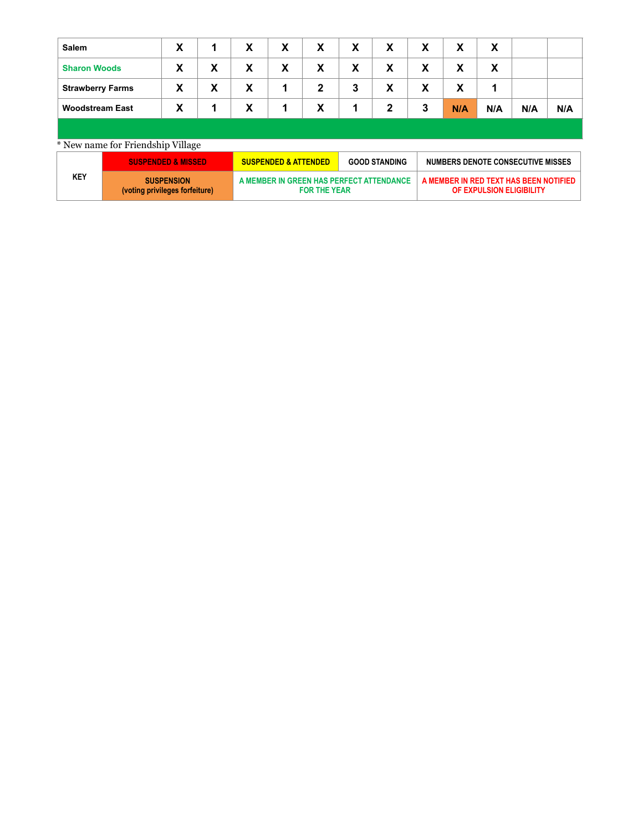| <b>Salem</b>            | X |   | X | X | X            | X | X | X | X   | X   |     |     |
|-------------------------|---|---|---|---|--------------|---|---|---|-----|-----|-----|-----|
| <b>Sharon Woods</b>     | X | X | X | X | X            | X | X | X | X   | X   |     |     |
| <b>Strawberry Farms</b> | X | X | X | 1 | $\mathbf{2}$ | 3 | X | X | X   |     |     |     |
| <b>Woodstream East</b>  | X |   | X | 1 | X            | 1 | 2 | 3 | N/A | N/A | N/A | N/A |
|                         |   |   |   |   |              |   |   |   |     |     |     |     |

### \* New name for Friendship Village

|     | <b>SUSPENDED &amp; MISSED</b>                       | <b>SUSPENDED &amp; ATTENDED</b>                                 | <b>GOOD STANDING</b> | NUMBERS DENOTE CONSECUTIVE MISSES                                  |
|-----|-----------------------------------------------------|-----------------------------------------------------------------|----------------------|--------------------------------------------------------------------|
| KEY | <b>SUSPENSION</b><br>(voting privileges forfeiture) | A MEMBER IN GREEN HAS PERFECT ATTENDANCE<br><b>FOR THE YEAR</b> |                      | A MEMBER IN RED TEXT HAS BEEN NOTIFIED<br>OF EXPULSION ELIGIBILITY |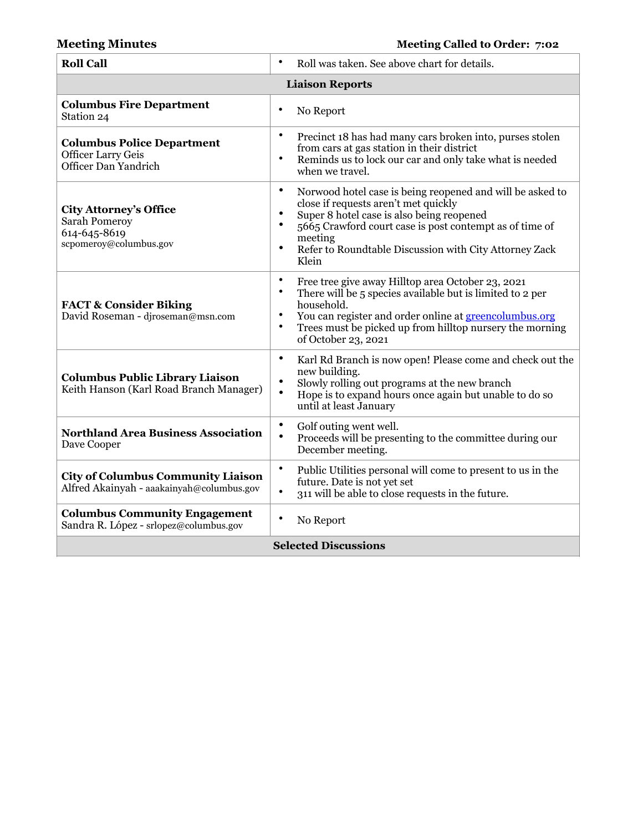# **Meeting Minutes Meeting Called to Order: 7:02**

| <b>Roll Call</b>                                                                         | Roll was taken. See above chart for details.<br>$\bullet$                                                                                                                                                                                                                                                                                   |  |  |  |
|------------------------------------------------------------------------------------------|---------------------------------------------------------------------------------------------------------------------------------------------------------------------------------------------------------------------------------------------------------------------------------------------------------------------------------------------|--|--|--|
| <b>Liaison Reports</b>                                                                   |                                                                                                                                                                                                                                                                                                                                             |  |  |  |
| <b>Columbus Fire Department</b><br>Station 24                                            | $\bullet$<br>No Report                                                                                                                                                                                                                                                                                                                      |  |  |  |
| <b>Columbus Police Department</b><br><b>Officer Larry Geis</b><br>Officer Dan Yandrich   | $\bullet$<br>Precinct 18 has had many cars broken into, purses stolen<br>from cars at gas station in their district<br>$\bullet$<br>Reminds us to lock our car and only take what is needed<br>when we travel.                                                                                                                              |  |  |  |
| <b>City Attorney's Office</b><br>Sarah Pomeroy<br>614-645-8619<br>scpomeroy@columbus.gov | $\bullet$<br>Norwood hotel case is being reopened and will be asked to<br>close if requests aren't met quickly<br>$\bullet$<br>Super 8 hotel case is also being reopened<br>5665 Crawford court case is post contempt as of time of<br>$\bullet$<br>meeting<br>$\bullet$<br>Refer to Roundtable Discussion with City Attorney Zack<br>Klein |  |  |  |
| <b>FACT &amp; Consider Biking</b><br>David Roseman - djroseman@msn.com                   | $\bullet$<br>Free tree give away Hilltop area October 23, 2021<br>There will be 5 species available but is limited to 2 per<br>$\bullet$<br>household.<br>You can register and order online at <b>greencolumbus.org</b><br>$\bullet$<br>$\bullet$<br>Trees must be picked up from hilltop nursery the morning<br>of October 23, 2021        |  |  |  |
| <b>Columbus Public Library Liaison</b><br>Keith Hanson (Karl Road Branch Manager)        | $\bullet$<br>Karl Rd Branch is now open! Please come and check out the<br>new building.<br>$\bullet$<br>Slowly rolling out programs at the new branch<br>$\bullet$<br>Hope is to expand hours once again but unable to do so<br>until at least January                                                                                      |  |  |  |
| <b>Northland Area Business Association</b><br>Dave Cooper                                | $\bullet$<br>Golf outing went well.<br>$\bullet$<br>Proceeds will be presenting to the committee during our<br>December meeting.                                                                                                                                                                                                            |  |  |  |
| <b>City of Columbus Community Liaison</b><br>Alfred Akainyah - aaakainyah@columbus.gov   | $\bullet$<br>Public Utilities personal will come to present to us in the<br>future. Date is not yet set<br>$\bullet$<br>311 will be able to close requests in the future.                                                                                                                                                                   |  |  |  |
| <b>Columbus Community Engagement</b><br>Sandra R. López - srlopez@columbus.gov           | ٠<br>No Report                                                                                                                                                                                                                                                                                                                              |  |  |  |
| <b>Selected Discussions</b>                                                              |                                                                                                                                                                                                                                                                                                                                             |  |  |  |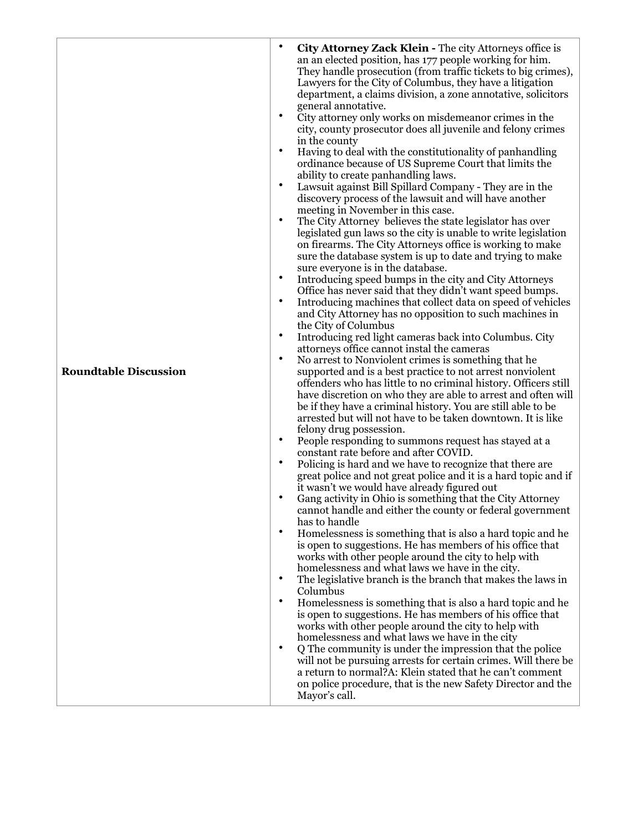| homelessness and what laws we have in the city<br>٠<br>Q The community is under the impression that the police<br>will not be pursuing arrests for certain crimes. Will there be<br>a return to normal?A: Klein stated that he can't comment |
|----------------------------------------------------------------------------------------------------------------------------------------------------------------------------------------------------------------------------------------------|
|----------------------------------------------------------------------------------------------------------------------------------------------------------------------------------------------------------------------------------------------|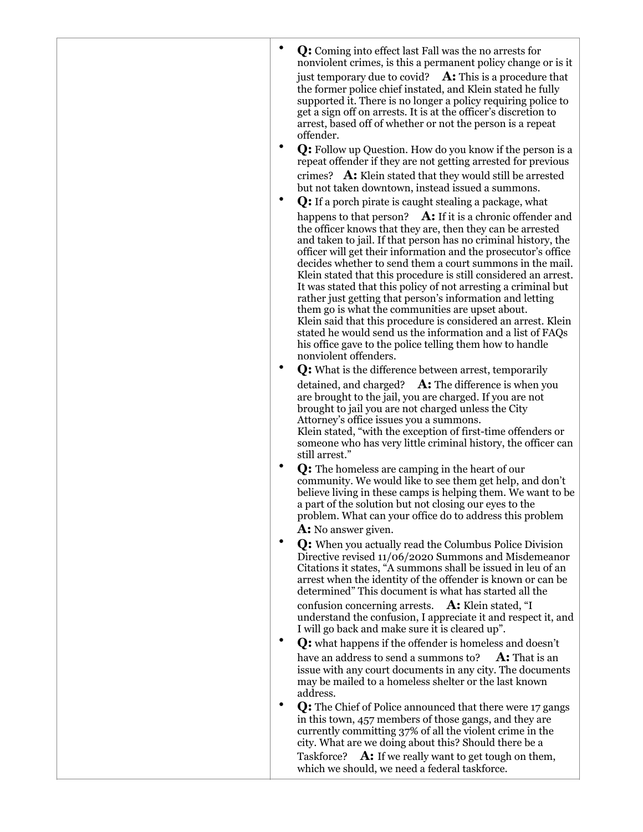| Q: Coming into effect last Fall was the no arrests for<br>nonviolent crimes, is this a permanent policy change or is it<br>just temporary due to covid? $\mathbf{A}$ : This is a procedure that<br>the former police chief instated, and Klein stated he fully<br>supported it. There is no longer a policy requiring police to<br>get a sign off on arrests. It is at the officer's discretion to<br>arrest, based off of whether or not the person is a repeat<br>offender.<br>٠<br>Q: Follow up Question. How do you know if the person is a                                                                                                                                                                                                                                                     |  |
|-----------------------------------------------------------------------------------------------------------------------------------------------------------------------------------------------------------------------------------------------------------------------------------------------------------------------------------------------------------------------------------------------------------------------------------------------------------------------------------------------------------------------------------------------------------------------------------------------------------------------------------------------------------------------------------------------------------------------------------------------------------------------------------------------------|--|
| repeat offender if they are not getting arrested for previous<br>crimes? A: Klein stated that they would still be arrested<br>but not taken downtown, instead issued a summons.                                                                                                                                                                                                                                                                                                                                                                                                                                                                                                                                                                                                                     |  |
| Q: If a porch pirate is caught stealing a package, what                                                                                                                                                                                                                                                                                                                                                                                                                                                                                                                                                                                                                                                                                                                                             |  |
| happens to that person? A: If it is a chronic offender and<br>the officer knows that they are, then they can be arrested<br>and taken to jail. If that person has no criminal history, the<br>officer will get their information and the prosecutor's office<br>decides whether to send them a court summons in the mail.<br>Klein stated that this procedure is still considered an arrest.<br>It was stated that this policy of not arresting a criminal but<br>rather just getting that person's information and letting<br>them go is what the communities are upset about.<br>Klein said that this procedure is considered an arrest. Klein<br>stated he would send us the information and a list of FAQs<br>his office gave to the police telling them how to handle<br>nonviolent offenders. |  |
| ٠<br>Q: What is the difference between arrest, temporarily                                                                                                                                                                                                                                                                                                                                                                                                                                                                                                                                                                                                                                                                                                                                          |  |
| detained, and charged? $\mathbf{A}$ : The difference is when you<br>are brought to the jail, you are charged. If you are not<br>brought to jail you are not charged unless the City<br>Attorney's office issues you a summons.<br>Klein stated, "with the exception of first-time offenders or<br>someone who has very little criminal history, the officer can<br>still arrest."                                                                                                                                                                                                                                                                                                                                                                                                                   |  |
| <b>Q:</b> The homeless are camping in the heart of our<br>community. We would like to see them get help, and don't<br>believe living in these camps is helping them. We want to be<br>a part of the solution but not closing our eyes to the<br>problem. What can your office do to address this problem<br>A: No answer given.                                                                                                                                                                                                                                                                                                                                                                                                                                                                     |  |
| Q: When you actually read the Columbus Police Division<br>Directive revised 11/06/2020 Summons and Misdemeanor<br>Citations it states, "A summons shall be issued in leu of an<br>arrest when the identity of the offender is known or can be<br>determined" This document is what has started all the<br>confusion concerning arrests. A: Klein stated, "I                                                                                                                                                                                                                                                                                                                                                                                                                                         |  |
| understand the confusion, I appreciate it and respect it, and<br>I will go back and make sure it is cleared up".                                                                                                                                                                                                                                                                                                                                                                                                                                                                                                                                                                                                                                                                                    |  |
| Q: what happens if the offender is homeless and doesn't<br>have an address to send a summons to? $\mathbf{A}$ : That is an<br>issue with any court documents in any city. The documents<br>may be mailed to a homeless shelter or the last known<br>address.                                                                                                                                                                                                                                                                                                                                                                                                                                                                                                                                        |  |
| Q: The Chief of Police announced that there were 17 gangs<br>in this town, 457 members of those gangs, and they are<br>currently committing 37% of all the violent crime in the<br>city. What are we doing about this? Should there be a                                                                                                                                                                                                                                                                                                                                                                                                                                                                                                                                                            |  |
| Taskforce? A: If we really want to get tough on them,<br>which we should, we need a federal taskforce.                                                                                                                                                                                                                                                                                                                                                                                                                                                                                                                                                                                                                                                                                              |  |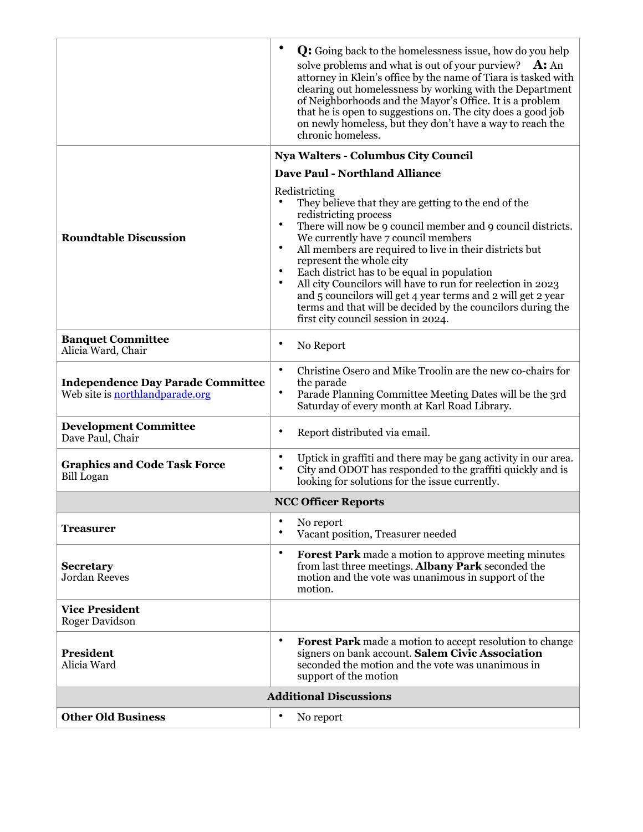|                                                                             | ٠<br>Q: Going back to the homelessness issue, how do you help<br>solve problems and what is out of your purview?<br>$A:$ An<br>attorney in Klein's office by the name of Tiara is tasked with<br>clearing out homelessness by working with the Department<br>of Neighborhoods and the Mayor's Office. It is a problem<br>that he is open to suggestions on. The city does a good job<br>on newly homeless, but they don't have a way to reach the                                                                                                                                                                                   |
|-----------------------------------------------------------------------------|-------------------------------------------------------------------------------------------------------------------------------------------------------------------------------------------------------------------------------------------------------------------------------------------------------------------------------------------------------------------------------------------------------------------------------------------------------------------------------------------------------------------------------------------------------------------------------------------------------------------------------------|
|                                                                             | chronic homeless.<br><b>Nya Walters - Columbus City Council</b>                                                                                                                                                                                                                                                                                                                                                                                                                                                                                                                                                                     |
|                                                                             | <b>Dave Paul - Northland Alliance</b>                                                                                                                                                                                                                                                                                                                                                                                                                                                                                                                                                                                               |
| <b>Roundtable Discussion</b>                                                | Redistricting<br>They believe that they are getting to the end of the<br>redistricting process<br>$\bullet$<br>There will now be 9 council member and 9 council districts.<br>We currently have 7 council members<br>All members are required to live in their districts but<br>$\bullet$<br>represent the whole city<br>$\bullet$<br>Each district has to be equal in population<br>All city Councilors will have to run for reelection in 2023<br>$\bullet$<br>and 5 councilors will get 4 year terms and 2 will get 2 year<br>terms and that will be decided by the councilors during the<br>first city council session in 2024. |
| <b>Banquet Committee</b><br>Alicia Ward, Chair                              | ٠<br>No Report                                                                                                                                                                                                                                                                                                                                                                                                                                                                                                                                                                                                                      |
| <b>Independence Day Parade Committee</b><br>Web site is northlandparade.org | Christine Osero and Mike Troolin are the new co-chairs for<br>$\bullet$<br>the parade<br>$\bullet$<br>Parade Planning Committee Meeting Dates will be the 3rd<br>Saturday of every month at Karl Road Library.                                                                                                                                                                                                                                                                                                                                                                                                                      |
| <b>Development Committee</b><br>Dave Paul, Chair                            | Report distributed via email.<br>٠                                                                                                                                                                                                                                                                                                                                                                                                                                                                                                                                                                                                  |
| <b>Graphics and Code Task Force</b><br><b>Bill Logan</b>                    | ٠<br>Uptick in graffiti and there may be gang activity in our area.<br>$\bullet$<br>City and ODOT has responded to the graffiti quickly and is<br>looking for solutions for the issue currently.                                                                                                                                                                                                                                                                                                                                                                                                                                    |
|                                                                             | <b>NCC Officer Reports</b>                                                                                                                                                                                                                                                                                                                                                                                                                                                                                                                                                                                                          |
| Treasurer                                                                   | No report<br>Vacant position, Treasurer needed                                                                                                                                                                                                                                                                                                                                                                                                                                                                                                                                                                                      |
| <b>Secretary</b><br>Jordan Reeves                                           | $\bullet$<br><b>Forest Park</b> made a motion to approve meeting minutes<br>from last three meetings. Albany Park seconded the<br>motion and the vote was unanimous in support of the<br>motion.                                                                                                                                                                                                                                                                                                                                                                                                                                    |
| <b>Vice President</b><br><b>Roger Davidson</b>                              |                                                                                                                                                                                                                                                                                                                                                                                                                                                                                                                                                                                                                                     |
| <b>President</b><br>Alicia Ward                                             | $\bullet$<br><b>Forest Park</b> made a motion to accept resolution to change<br>signers on bank account. Salem Civic Association<br>seconded the motion and the vote was unanimous in<br>support of the motion                                                                                                                                                                                                                                                                                                                                                                                                                      |
|                                                                             | <b>Additional Discussions</b>                                                                                                                                                                                                                                                                                                                                                                                                                                                                                                                                                                                                       |
| <b>Other Old Business</b>                                                   | ٠<br>No report                                                                                                                                                                                                                                                                                                                                                                                                                                                                                                                                                                                                                      |